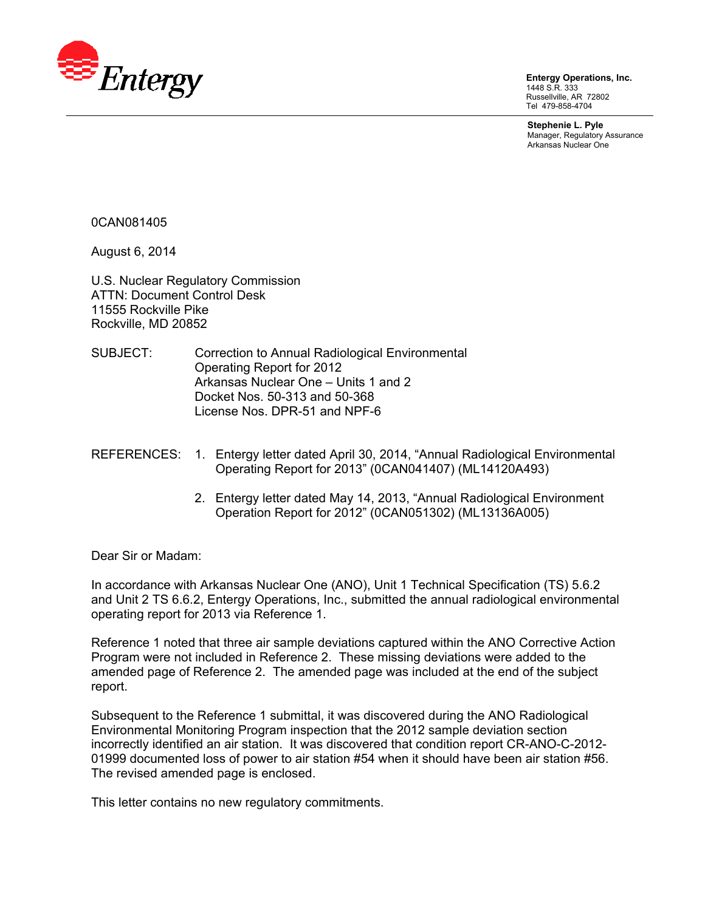

**Entergy Operations, Inc.**  1448 S.R. 333 Russellville, AR 72802 Tel 479-858-4704

**Stephenie L. Pyle**  Manager, Regulatory Assurance Arkansas Nuclear One

0CAN081405

August 6, 2014

U.S. Nuclear Regulatory Commission ATTN: Document Control Desk 11555 Rockville Pike Rockville, MD 20852

- SUBJECT: Correction to Annual Radiological Environmental Operating Report for 2012 Arkansas Nuclear One – Units 1 and 2 Docket Nos. 50-313 and 50-368 License Nos. DPR-51 and NPF-6
- REFERENCES: 1. Entergy letter dated April 30, 2014, "Annual Radiological Environmental Operating Report for 2013" (0CAN041407) (ML14120A493)
	- 2. Entergy letter dated May 14, 2013, "Annual Radiological Environment Operation Report for 2012" (0CAN051302) (ML13136A005)

Dear Sir or Madam:

In accordance with Arkansas Nuclear One (ANO), Unit 1 Technical Specification (TS) 5.6.2 and Unit 2 TS 6.6.2, Entergy Operations, Inc., submitted the annual radiological environmental operating report for 2013 via Reference 1.

Reference 1 noted that three air sample deviations captured within the ANO Corrective Action Program were not included in Reference 2. These missing deviations were added to the amended page of Reference 2. The amended page was included at the end of the subject report.

Subsequent to the Reference 1 submittal, it was discovered during the ANO Radiological Environmental Monitoring Program inspection that the 2012 sample deviation section incorrectly identified an air station. It was discovered that condition report CR-ANO-C-2012- 01999 documented loss of power to air station #54 when it should have been air station #56. The revised amended page is enclosed.

This letter contains no new regulatory commitments.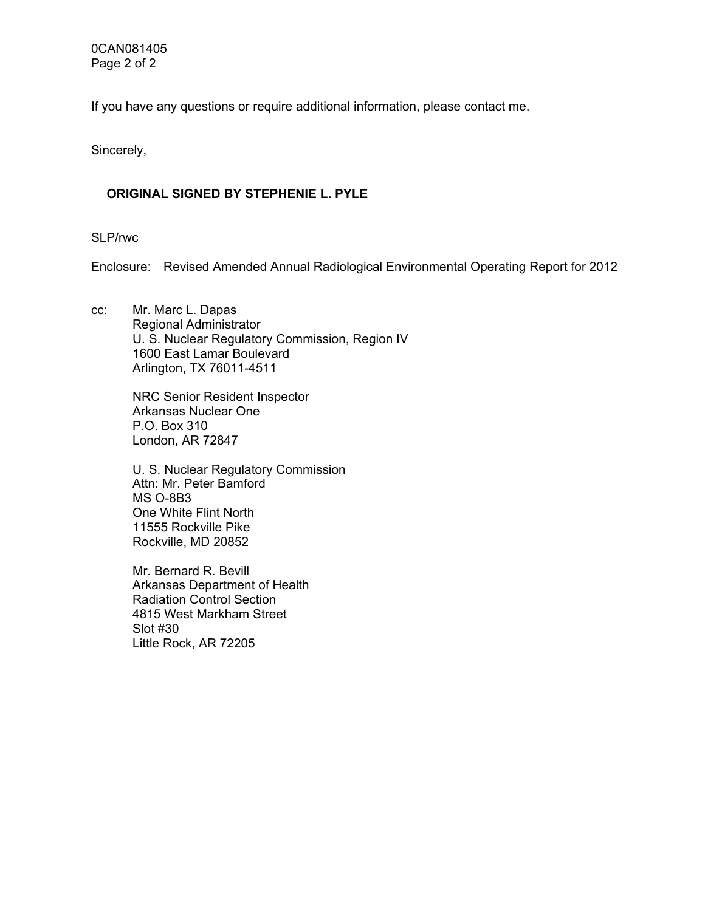0CAN081405 Page 2 of 2

If you have any questions or require additional information, please contact me.

Sincerely,

## **ORIGINAL SIGNED BY STEPHENIE L. PYLE**

SLP/rwc

Enclosure: Revised Amended Annual Radiological Environmental Operating Report for 2012

cc: Mr. Marc L. Dapas Regional Administrator U. S. Nuclear Regulatory Commission, Region IV 1600 East Lamar Boulevard Arlington, TX 76011-4511

> NRC Senior Resident Inspector Arkansas Nuclear One P.O. Box 310 London, AR 72847

U. S. Nuclear Regulatory Commission Attn: Mr. Peter Bamford MS O-8B3 One White Flint North 11555 Rockville Pike Rockville, MD 20852

Mr. Bernard R. Bevill Arkansas Department of Health Radiation Control Section 4815 West Markham Street Slot #30 Little Rock, AR 72205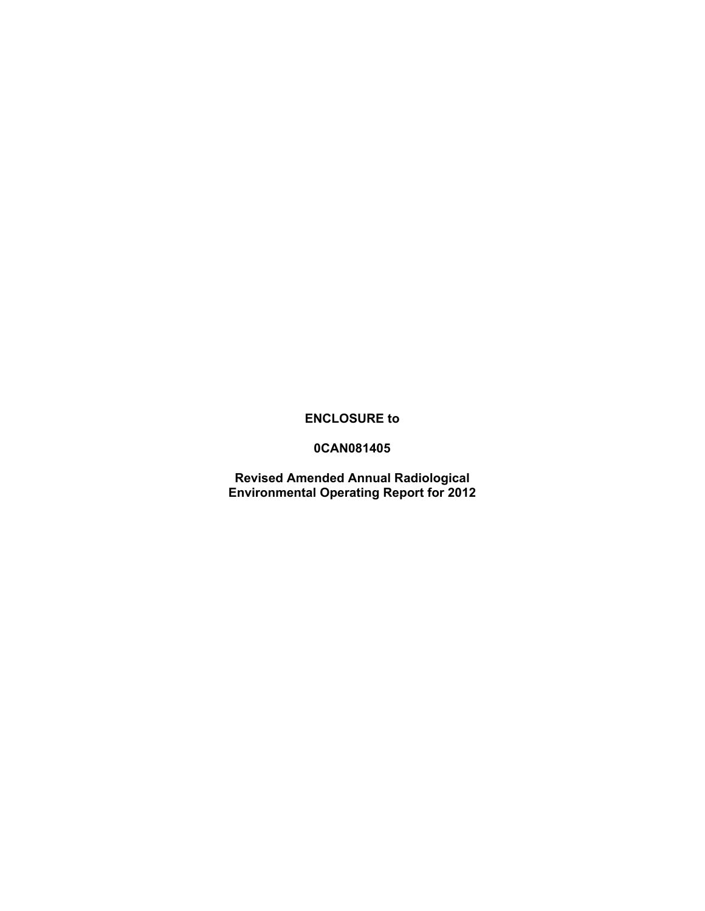## **ENCLOSURE to**

## **0CAN081405**

**Revised Amended Annual Radiological Environmental Operating Report for 2012**